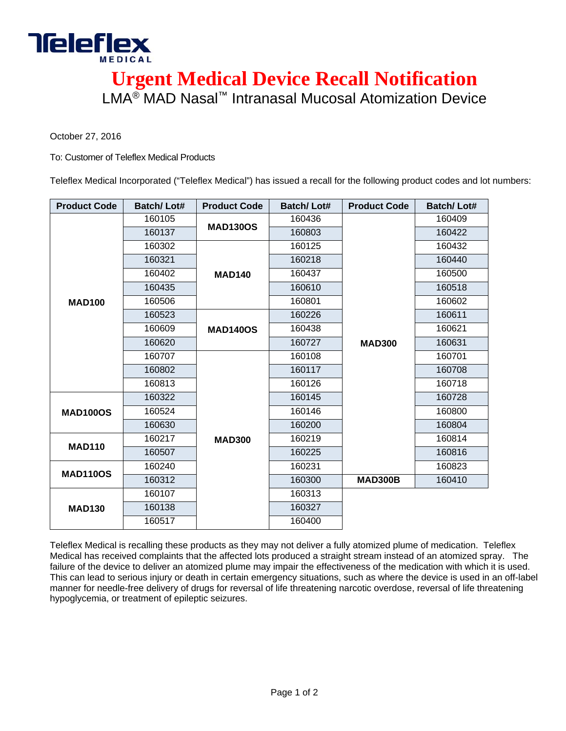

**Urgent Medical Device Recall Notification**  LMA® MAD Nasal™ Intranasal Mucosal Atomization Device

October 27, 2016

To: Customer of Teleflex Medical Products

Teleflex Medical Incorporated ("Teleflex Medical") has issued a recall for the following product codes and lot numbers:

| <b>Product Code</b> | <b>Batch/Lot#</b> | <b>Product Code</b> | <b>Batch/Lot#</b> | <b>Product Code</b> | <b>Batch/Lot#</b> |
|---------------------|-------------------|---------------------|-------------------|---------------------|-------------------|
| <b>MAD100</b>       | 160105            | <b>MAD130OS</b>     | 160436            | <b>MAD300</b>       | 160409            |
|                     | 160137            |                     | 160803            |                     | 160422            |
|                     | 160302            | <b>MAD140</b>       | 160125            |                     | 160432            |
|                     | 160321            |                     | 160218            |                     | 160440            |
|                     | 160402            |                     | 160437            |                     | 160500            |
|                     | 160435            |                     | 160610            |                     | 160518            |
|                     | 160506            |                     | 160801            |                     | 160602            |
|                     | 160523            | <b>MAD140OS</b>     | 160226            |                     | 160611            |
|                     | 160609            |                     | 160438            |                     | 160621            |
|                     | 160620            |                     | 160727            |                     | 160631            |
|                     | 160707            | <b>MAD300</b>       | 160108            |                     | 160701            |
|                     | 160802            |                     | 160117            |                     | 160708            |
|                     | 160813            |                     | 160126            |                     | 160718            |
| <b>MAD100OS</b>     | 160322            |                     | 160145            |                     | 160728            |
|                     | 160524            |                     | 160146            |                     | 160800            |
|                     | 160630            |                     | 160200            |                     | 160804            |
| <b>MAD110</b>       | 160217            |                     | 160219            |                     | 160814            |
|                     | 160507            |                     | 160225            |                     | 160816            |
| <b>MAD110OS</b>     | 160240            |                     | 160231            |                     | 160823            |
|                     | 160312            |                     | 160300            | <b>MAD300B</b>      | 160410            |
| <b>MAD130</b>       | 160107            |                     | 160313            |                     |                   |
|                     | 160138            |                     | 160327            |                     |                   |
|                     | 160517            |                     | 160400            |                     |                   |

Teleflex Medical is recalling these products as they may not deliver a fully atomized plume of medication. Teleflex Medical has received complaints that the affected lots produced a straight stream instead of an atomized spray. The failure of the device to deliver an atomized plume may impair the effectiveness of the medication with which it is used. This can lead to serious injury or death in certain emergency situations, such as where the device is used in an off-label manner for needle-free delivery of drugs for reversal of life threatening narcotic overdose, reversal of life threatening hypoglycemia, or treatment of epileptic seizures.